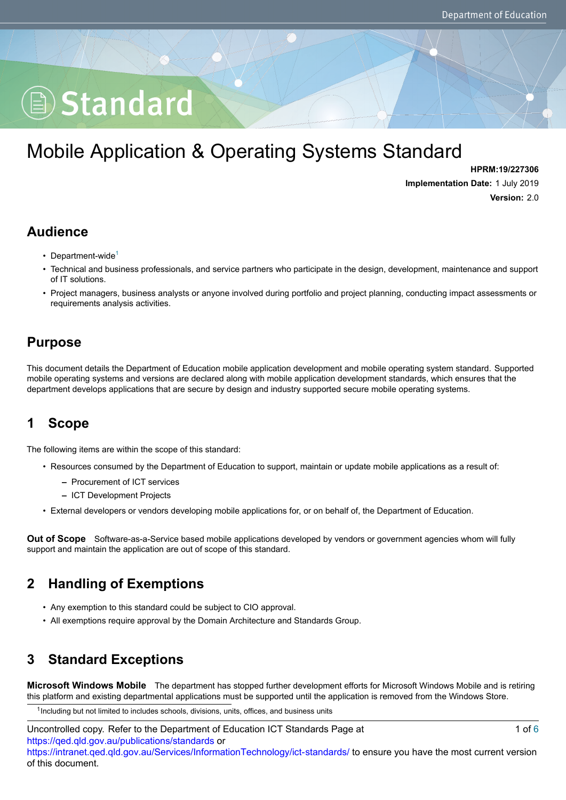# Standard

# Mobile Application & Operating Systems Standard

**HPRM:19/227306 Implementation Date:** 1 July 2019 **Version:** 2.0

#### **Audience**

- Department-wide<sup>[1](#page-0-0)</sup>
- Technical and business professionals, and service partners who participate in the design, development, maintenance and support of IT solutions.
- Project managers, business analysts or anyone involved during portfolio and project planning, conducting impact assessments or requirements analysis activities.

#### **Purpose**

This document details the Department of Education mobile application development and mobile operating system standard. Supported mobile operating systems and versions are declared along with mobile application development standards, which ensures that the department develops applications that are secure by design and industry supported secure mobile operating systems.

# **1 Scope**

The following items are within the scope of this standard:

- Resources consumed by the Department of Education to support, maintain or update mobile applications as a result of:
	- **–** Procurement of ICT services
	- **–** ICT Development Projects
- External developers or vendors developing mobile applications for, or on behalf of, the Department of Education.

**Out of Scope** Software-as-a-Service based mobile applications developed by vendors or government agencies whom will fully support and maintain the application are out of scope of this standard.

# **2 Handling of Exemptions**

- Any exemption to this standard could be subject to CIO approval.
- All exemptions require approval by the Domain Architecture and Standards Group.

# **3 Standard Exceptions**

**Microsoft Windows Mobile** The department has stopped further development efforts for Microsoft Windows Mobile and is retiring this platform and existing departmental applications must be supported until the application is removed from the Windows Store.

<span id="page-0-0"></span><sup>1</sup>Including but not limited to includes schools, divisions, units, offices, and business units

Uncontrolled copy. Refer to the Department of Education ICT Standards Page at <https://qed.qld.gov.au/publications/standards> or <https://intranet.qed.qld.gov.au/Services/InformationTechnology/ict-standards/> to ensure you have the most current version of this document. 1 of [6](#page-5-0)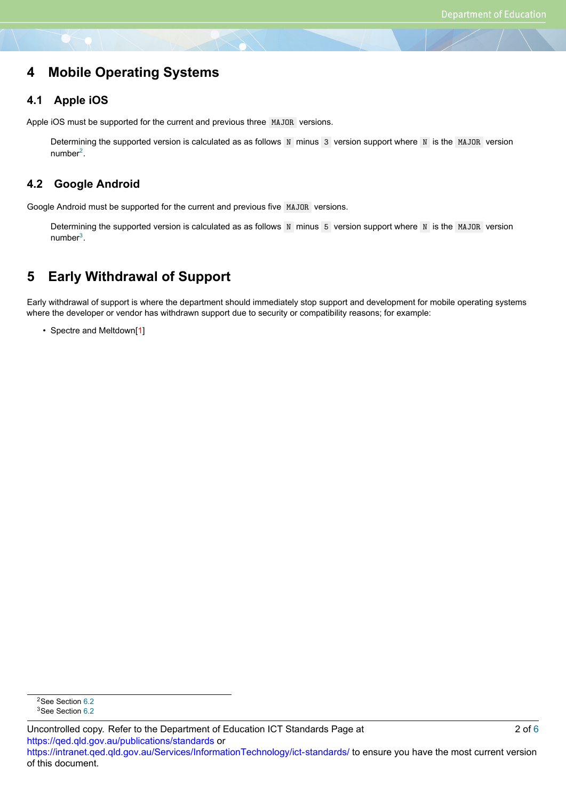#### **4 Mobile Operating Systems**

#### **4.1 Apple iOS**

Apple iOS must be supported for the current and previous three MAJOR versions.

Determining the supported version is calculated as as follows  $N$  minus 3 version support where  $N$  is the MAJOR version number<sup>[2](#page-1-0)</sup>.

#### **4.2 Google Android**

Google Android must be supported for the current and previous five MAJOR versions.

Determining the supported version is calculated as as follows  $N$  minus  $5$  version support where  $N$  is the MAJOR version number<sup>[3](#page-1-1)</sup>.

# **5 Early Withdrawal of Support**

Early withdrawal of support is where the department should immediately stop support and development for mobile operating systems where the developer or vendor has withdrawn support due to security or compatibility reasons; for example:

• Spectre and Meltdown[[1\]](#page-5-1)

<span id="page-1-0"></span><sup>2</sup>See Section [6.2](#page-2-0)

<span id="page-1-1"></span><sup>&</sup>lt;sup>3</sup>See Section [6.2](#page-2-0)

Uncontrolled copy. Refer to the Department of Education ICT Standards Page at <https://qed.qld.gov.au/publications/standards> or <https://intranet.qed.qld.gov.au/Services/InformationTechnology/ict-standards/> to ensure you have the most current version of this document. 2 of [6](#page-5-0)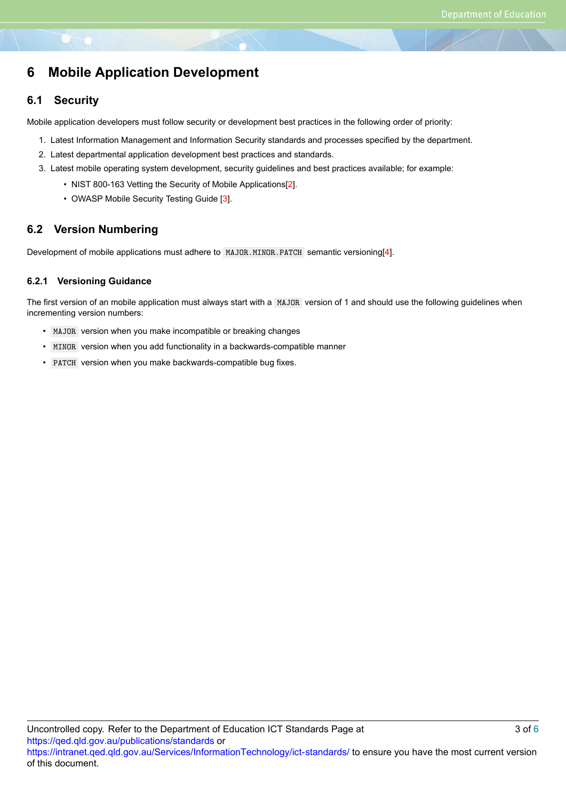# **6 Mobile Application Development**

#### **6.1 Security**

Mobile application developers must follow security or development best practices in the following order of priority:

- 1. Latest Information Management and Information Security standards and processes specified by the department.
- 2. Latest departmental application development best practices and standards.
- 3. Latest mobile operating system development, security guidelines and best practices available; for example:
	- NIST 800-163 Vetting the Security of Mobile Applications[[2\]](#page-5-2).
	- OWASP Mobile Security Testing Guide [\[3](#page-5-3)].

#### <span id="page-2-0"></span>**6.2 Version Numbering**

Development of mobile applications must adhere to MAJOR.MINOR.PATCH semantic versioning[[4\]](#page-5-4).

#### **6.2.1 Versioning Guidance**

The first version of an mobile application must always start with a MAJOR version of 1 and should use the following guidelines when incrementing version numbers:

- MAJOR version when you make incompatible or breaking changes
- MINOR version when you add functionality in a backwards-compatible manner
- PATCH version when you make backwards-compatible bug fixes.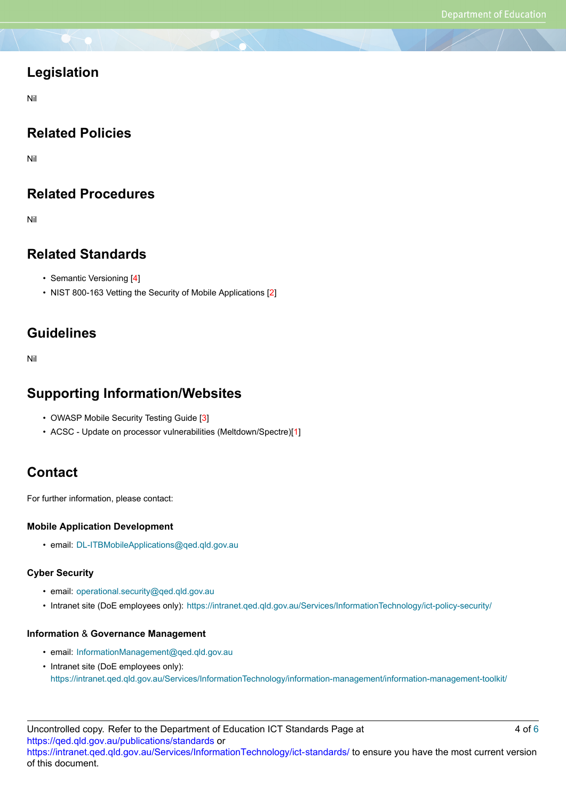#### **Legislation**

Nil

# **Related Policies**

Nil

# **Related Procedures**

Nil

#### **Related Standards**

- Semantic Versioning[[4\]](#page-5-4)
- NIST 800-163 Vetting the Security of Mobile Applications[[2\]](#page-5-2)

#### **Guidelines**

Nil

#### **Supporting Information/Websites**

- OWASP Mobile Security Testing Guide [\[3](#page-5-3)]
- ACSC Update on processor vulnerabilities (Meltdown/Spectre)[[1\]](#page-5-1)

# **Contact**

For further information, please contact:

#### **Mobile Application Development**

• email: DL-ITBMobileApplications@qed.qld.gov.au

#### **Cyber Security**

- email: operational.security@qed.qld.gov.au
- Intranet site (DoE employees only): https://intranet.qed.qld.gov.au/Services/InformationTechnology/ict-policy-security/

#### **Information** & **Governance Management**

- email: InformationManagement@qed.qld.gov.au
- Intranet site (DoE employees only): https://intranet.qed.qld.gov.au/Services/InformationTechnology/information-management/information-management-toolkit/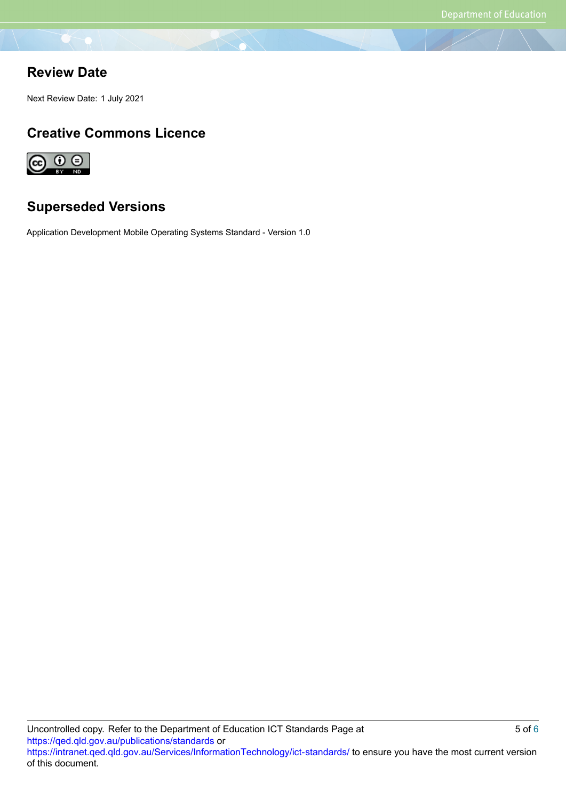#### **Review Date**

Next Review Date: 1 July 2021

#### **Creative Commons Licence**



# **Superseded Versions**

Application Development Mobile Operating Systems Standard - Version 1.0